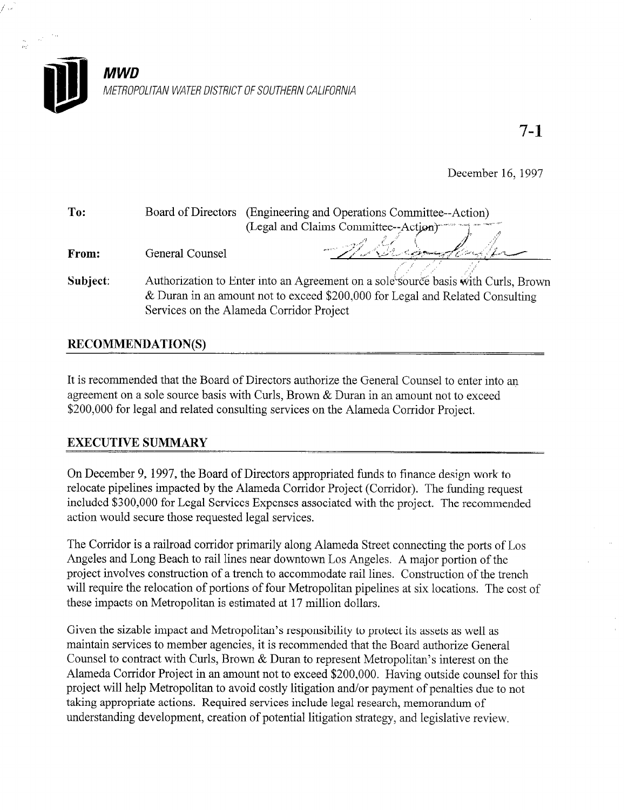

December 16, 1997

| To:      |                                                                                | Board of Directors (Engineering and Operations Committee--Action)                 |  |
|----------|--------------------------------------------------------------------------------|-----------------------------------------------------------------------------------|--|
|          |                                                                                | (Legal and Claims Committee--Action)                                              |  |
| From:    | General Counsel                                                                | Michigan                                                                          |  |
|          |                                                                                |                                                                                   |  |
| Subject: |                                                                                | Authorization to Enter into an Agreement on a sole source basis with Curls, Brown |  |
|          | & Duran in an amount not to exceed $$200,000$ for Legal and Related Consulting |                                                                                   |  |
|          | Services on the Alameda Corridor Project                                       |                                                                                   |  |

## RECOMMENDATION(S)

It is recommended that the Board of Directors authorize the General Counsel to enter into an agreement on a sole source basis with Curls, Brown & Duran in an amount not to exceed \$200,000 for legal and related consulting services on the Alameda Corridor Project.

### EXECUTIVE SUMMARY

On December 9, 1997, the Board of Directors appropriated funds to finance design work to relocate pipelines impacted by the Alameda Corridor Project (Corridor). The funding request included \$300,000 for Legal Services Expenses associated with the project. The recommended action would secure those requested legal services.

The Corridor is a railroad corridor primarily along Alameda Street connecting the ports of Los Angeles and Long Beach to rail lines near downtown Los Angeles. A major portion of the project involves construction of a trench to accommodate rail lines. Construction of the trench will require the relocation of portions of four Metropolitan pipelines at six locations. The cost of these impacts on Metropolitan is estimated at 17 million dollars.

Given the sizable impact and Metropolitan's responsibility to protect its assets as well as maintain services to member agencies, it is recommended that the Board authorize General Counsel to contract with Curls, Brown & Duran to represent Metropolitan's interest on the Alameda Corridor Project in an amount not to exceed \$200,000. Having outside counsel for this project will help Metropolitan to avoid costly litigation and/or payment of penalties due to not taking appropriate actions. Required services include legal research, memorandum of understanding development, creation of potential litigation strategy, and legislative review.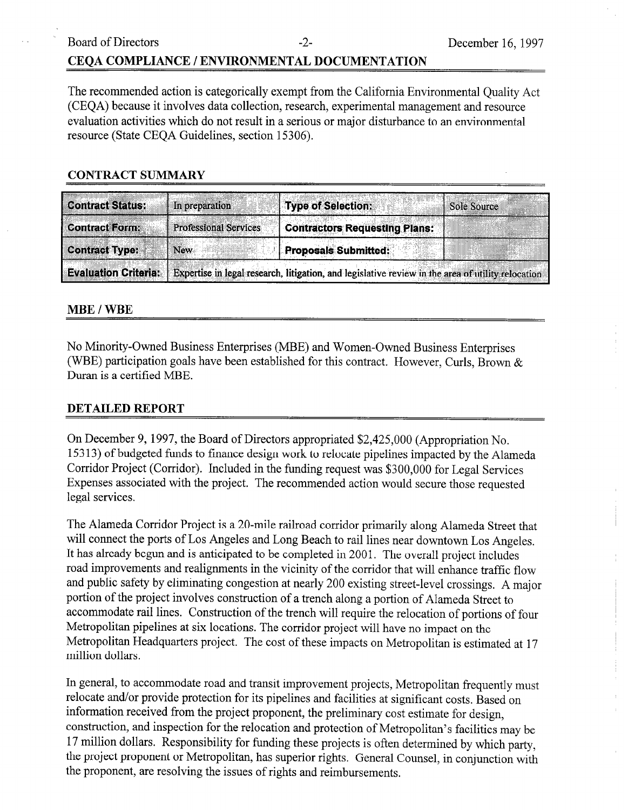# Board of Directors -2- December 16, 1997 CEQA COMPLIANCE / ENVIRONMENTAL DOCUMENTATION

The recommended action is categorically exempt from the California Environmental Quality Act (CEQA) because it involves data collection, research, experimental management and resource evaluation activities which do not result in a serious or major disturbance to an environmental resource (State CEQA Guidelines, section 15306).

#### CONTRACT SUMMARY

| <b>Contract Status:</b>     | <b>Type of Selection:</b><br>In preparation<br><b>Sole Source</b>                                 |
|-----------------------------|---------------------------------------------------------------------------------------------------|
| <b>Contract Form:</b>       | <b>Professional Services</b><br><b>Contractors Requesting Plans:</b>                              |
| <b>Contract Type:</b>       | <b>Proposals Submitted:</b><br><b>New</b>                                                         |
| <b>Evaluation Criteria:</b> | Expertise in legal research, litigation, and legislative review in the area of utility relocation |

#### MBE / WBE

No Minority-Owned Business Enterprises (MBE) and Women-Owned Business Enterprises (WBE) participation goals have been established for this contract. However, Curls, Brown  $\&$ Duran is a certified MBE.

#### DETAILED REPORT

On December 9, 1997, the Board of Directors appropriated \$2,425,000 (Appropriation No. 153 13) of budgeted funds to finance design work to relocate pipelines impacted by the Alameda Corridor Project (Corridor). Included in the funding request was \$300,000 for Legal Services Expenses associated with the project. The recommended action would secure those requested legal services.

The Alameda Corridor Project is a 20-mile railroad corridor primarily along Alameda Street that will connect the ports of Los Angeles and Long Beach to rail lines near downtown Los Angeles. It has already begun and is anticipated to be completed in 2001. The overall project includes road improvements and realignments in the vicinity of the corridor that will enhance traffic flow and public safety by eliminating congestion at nearly 200 existing street-level crossings. A major portion of the project involves construction of a trench along a portion of Alameda Street to accommodate rail lines. Construction of the trench will require the relocation of portions of four Metropolitan pipelines at six locations. The corridor project will have no impact on the Metropolitan Headquarters project. The cost of these impacts on Metropolitan is estimated at 17 million dollars.

In general, to accommodate road and transit improvement projects, Metropolitan frequently must relocate and/or provide protection for its pipelines and facilities at significant costs. Based on information received from the project proponent, the preliminary cost estimate for design, construction, and inspection for the relocation and protection of Metropolitan's facilities may be 17 million dollars. Responsibility for funding these projects is often determined by which party, the project proponent or Metropolitan, has superior rights. General Counsel, in conjunction with the proponent, are resolving the issues of rights and reimbursements.